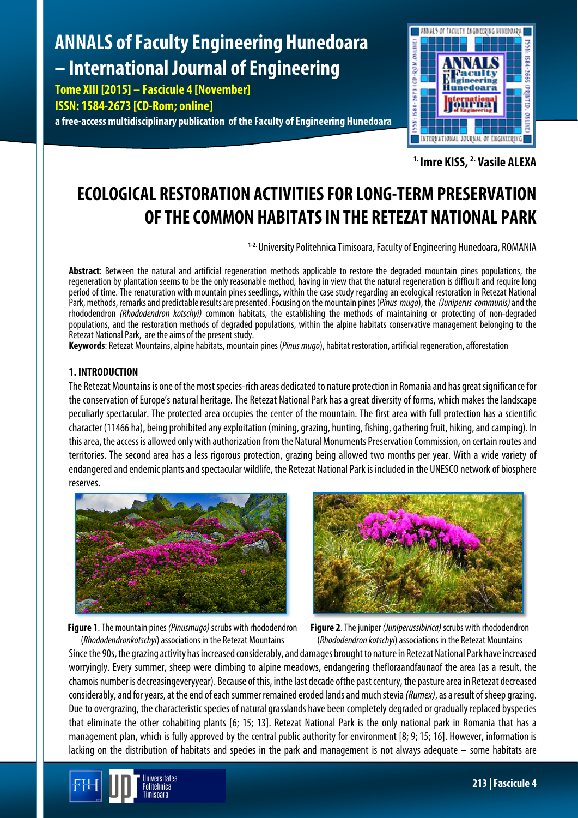# **ANNALS of Faculty Engineering Hunedoara – International Journal of Engineering**

**Tome XIII [2015] – Fascicule 4 [November] ISSN: 1584-2673 [CD-Rom; online]**

**a free-access multidisciplinary publication of the Faculty of Engineering Hunedoara**



**1. Imre KISS, 2. Vasile ALEXA**

# **ECOLOGICAL RESTORATION ACTIVITIES FOR LONG-TERM PRESERVATION OF THE COMMON HABITATSIN THE RETEZAT NATIONAL PARK**

**1-2.** University Politehnica Timisoara, Faculty of Engineering Hunedoara, ROMANIA

**Abstract**: Between the natural and artificial regeneration methods applicable to restore the degraded mountain pines populations, the regeneration by plantation seems to be the only reasonable method, having in view that the natural regeneration is difficult and require long period of time. The renaturation with mountain pines seedlings, within the case study regarding an ecological restoration in Retezat National Park,methods, remarks and predictable results are presented. Focusing on the mountain pines(*Pinus mugo*), the *(Juniperus communis)* and the rhododendron *(Rhododendron kotschyi)* common habitats, the establishing the methods of maintaining or protecting of non-degraded populations, and the restoration methods of degraded populations, within the alpine habitats conservative management belonging to the Retezat National Park, are the aims of the present study.

**Keywords**: Retezat Mountains, alpine habitats, mountain pines (*Pinus mugo*), habitat restoration, artificial regeneration, afforestation

## **1. INTRODUCTION**

The Retezat Mountains is one of the most species-rich areas dedicated to nature protection in Romania and has great significance for the conservation of Europe's natural heritage. The Retezat National Park has a great diversity of forms, which makes the landscape peculiarly spectacular. The protected area occupies the center of the mountain. The first area with full protection has a scientific character (11466 ha), being prohibited any exploitation (mining, grazing, hunting, fishing, gatheringfruit, hiking, and camping). In this area, the access is allowed only with authorization from the Natural Monuments Preservation Commission, on certain routes and territories. The second area has a less rigorous protection, grazing being allowed two months per year. With a wide variety of endangered and endemic plants and spectacular wildlife, the Retezat National Park is included in the UNESCO network of biosphere reserves.





**Figure 1**. The mountain pines *(Pinusmugo)* scrubs with rhododendron (*Rhododendronkotschyi*) associations in the Retezat Mountains

**Figure 2.** The juniper *(Juniperussibirica)* scrubs with rhododendron (*Rhododendron kotschyi*) associations in the Retezat Mountains

Since the 90s, the grazing activity has increased considerably, and damages brought to nature in Retezat National Park have increased worryingly. Every summer, sheep were climbing to alpine meadows, endangering thefloraandfaunaof the area (as a result, the chamois number is decreasingeveryyear). Because of this, inthe lastdecade ofthe past century, the pasture area in Retezat decreased considerably, and for years, at the end of each summer remained eroded lands and much stevia *(Rumex)*, as a result of sheep grazing. Due to overgrazing, the characteristic species of natural grasslands have been completely degraded or gradually replaced byspecies that eliminate the other cohabiting plants [6; 15; 13]. Retezat National Park is the only national park in Romania that has a management plan, which is fully approved by the central public authority for environment [8; 9;15; 16]. However, information is lacking on the distribution of habitats and species in the park and management is not always adequate – some habitats are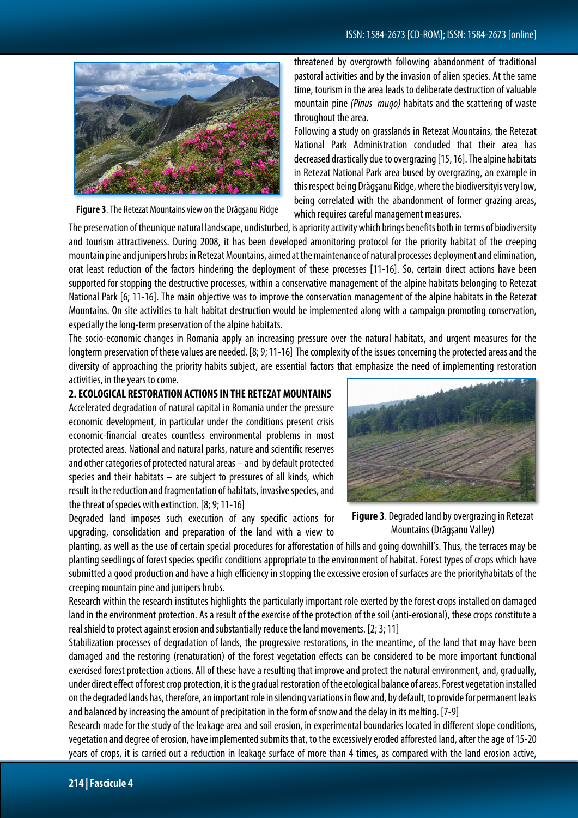

**Figure 3**. The Retezat Mountains view on the Drăgşanu Ridge

threatened by overgrowth following abandonment of traditional pastoral activities and by the invasion of alien species. At the same time, tourism in the area leads to deliberate destruction of valuable mountain pine *(Pinus mugo)* habitats and the scattering of waste throughout the area.

Following a study on grasslands in Retezat Mountains, the Retezat National Park Administration concluded that their area has decreased drastically due to overgrazing [15,16]. The alpine habitats in Retezat National Park area bused by overgrazing, an example in this respect being Drăgșanu Ridge, where the biodiversityis very low, being correlated with the abandonment of former grazing areas, which requires careful management measures.

The preservation of theunique natural landscape, undisturbed, is apriority activity which brings benefits both in terms of biodiversity and tourism attractiveness. During 2008, it has been developed amonitoring protocol for the priority habitat of the creeping mountain pine and junipers hrubsin Retezat Mountains, aimed at themaintenance of natural processesdeploymentand elimination, orat least reduction of the factors hindering the deployment of these processes [11-16]. So, certain direct actions have been supported for stopping the destructive processes, within a conservative management of the alpine habitats belonging to Retezat National Park [6; 11-16]. The main objective was to improve the conservation management of the alpine habitats in the Retezat Mountains. On site activities to halt habitat destruction would be implemented along with a campaign promoting conservation, especially the long-term preservation of the alpine habitats.

The socio-economic changes in Romania apply an increasing pressure over the natural habitats, and urgent measures for the longterm preservation of these values are needed. [8; 9; 11-16] The complexity of the issues concerning the protected areas and the diversity of approaching the priority habits subject, are essential factors that emphasize the need of implementing restoration activities, in the years to come.

#### **2. ECOLOGICAL RESTORATION ACTIONS IN THE RETEZAT MOUNTAINS**

Accelerated degradation of natural capital in Romania under the pressure economic development, in particular under the conditions present crisis economic-financial creates countless environmental problems in most protected areas. National and natural parks, nature and scientific reserves and other categories of protected natural areas – and by default protected species and their habitats – are subject to pressures of all kinds, which result in the reduction and fragmentation of habitats, invasive species, and the threat of species with extinction. [8;9;11-16]

Degraded land imposes such execution of any specific actions for upgrading, consolidation and preparation of the land with a view to



**Figure 3**. Degraded land by overgrazing in Retezat Mountains (Drăgşanu Valley)

planting, as well as the use of certain special procedures for afforestation of hills and going downhill's. Thus, the terraces may be planting seedlings of forest species specific conditions appropriate to the environment of habitat. Forest types of crops which have submitted a good production and have a high efficiency in stopping the excessive erosion of surfaces are the priorityhabitats of the creeping mountain pine and junipers hrubs.

Research within the research institutes highlights the particularly important role exerted by the forest crops installed on damaged land in the environment protection. As a result of the exercise of the protection of the soil (anti-erosional), these crops constitute a real shield to protect against erosion and substantially reduce the land movements. [2; 3;11]

Stabilization processes of degradation of lands, the progressive restorations, in the meantime, of the land that may have been damaged and the restoring (renaturation) of the forest vegetation effects can be considered to be more important functional exercised forest protection actions. All of these have a resulting that improve and protect the natural environment, and, gradually, under direct effect of forest crop protection, it is the gradual restoration of the ecological balance of areas. Forest vegetation installed on the degraded lands has, therefore, an important role in silencing variations in flow and, by default, to provide for permanent leaks and balanced by increasing the amount of precipitation in the form of snow and the delay in its melting. [7-9]

Research made for the study of the leakage area and soil erosion, in experimental boundaries located in different slope conditions, vegetation and degree of erosion, have implemented submits that, to the excessively eroded afforested land, after the age of 15-20 years of crops, it is carried out a reduction in leakage surface of more than 4 times, as compared with the land erosion active,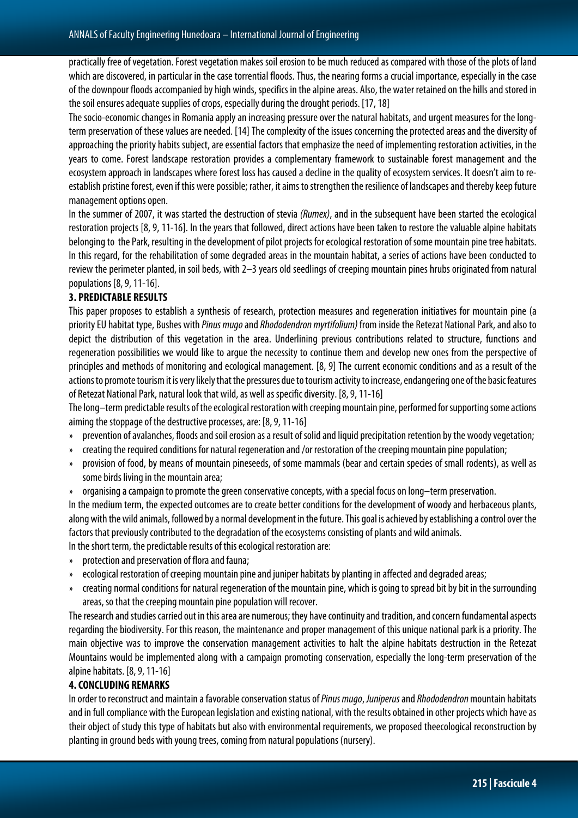practically free of vegetation. Forest vegetation makes soil erosion to be much reduced as compared with those of the plots of land which are discovered, in particular in the case torrential floods. Thus, the nearing forms a crucial importance, especially in the case of the downpour floods accompanied by high winds, specifics in the alpine areas. Also, the water retained on the hills and stored in the soil ensures adequate supplies of crops, especially during the drought periods. [17, 18]

The socio-economic changes in Romania apply an increasing pressure over the natural habitats, and urgent measures for the longterm preservation of these values are needed. [14]The complexity of the issues concerning the protected areas and the diversity of approaching the priority habits subject, are essential factors that emphasize the need of implementing restoration activities, in the years to come. Forest landscape restoration provides a complementary framework to sustainable forest management and the ecosystem approach in landscapes where forest loss has caused a decline in the quality of ecosystem services. It doesn't aim to reestablish pristine forest, even if this were possible; rather, it aims to strengthen the resilience of landscapes and thereby keep future management options open.

In the summer of 2007, it was started the destruction of stevia *(Rumex)*, and in the subsequent have been started the ecological restoration projects [8, 9, 11-16]. In the years that followed, direct actions have been taken to restore the valuable alpine habitats belonging to the Park, resulting in the development of pilot projects for ecological restoration of some mountain pine tree habitats. In this regard, for the rehabilitation of some degraded areas in the mountain habitat, a series of actions have been conducted to review the perimeter planted, in soil beds, with 2–3 years old seedlings of creeping mountain pines hrubs originated from natural populations [8, 9, 11-16].

#### **3. PREDICTABLE RESULTS**

This paper proposes to establish a synthesis of research, protection measures and regeneration initiatives for mountain pine (a priority EU habitat type, Bushes with *Pinus mugo* and *Rhododendron myrtifolium)* from inside the Retezat National Park, and also to depict the distribution of this vegetation in the area. Underlining previous contributions related to structure, functions and regeneration possibilities we would like to argue the necessity to continue them and develop new ones from the perspective of principles and methods of monitoring and ecological management. [8, 9] The current economic conditions and as a result of the actions to promote tourism it is very likely that the pressures due to tourism activity to increase, endangering one of the basic features of Retezat National Park, natural look that wild, as well as specific diversity. [8, 9, 11-16]

The long–term predictable results of the ecological restoration with creeping mountain pine, performed for supporting some actions aiming the stoppage of the destructive processes, are: [8, 9, 11-16]

- » prevention of avalanches, floods and soil erosion as a result of solid and liquid precipitation retention by the woody vegetation;
- creating the required conditions for natural regeneration and /or restoration of the creeping mountain pine population;
- » provision of food, by means of mountain pineseeds, of some mammals (bear and certain species of small rodents), as well as some birds living in the mountain area;
- » organising a campaign to promote the green conservative concepts, with a special focus on long–term preservation.

In the medium term, the expected outcomes are to create better conditions for the development of woody and herbaceous plants, along with the wild animals, followed by a normal development in the future. This goal is achieved by establishing a control over the factors that previously contributed to the degradation of the ecosystems consisting of plants and wild animals.

In the short term, the predictable results of this ecological restoration are:

- » protection and preservation of flora and fauna;
- » ecological restoration of creeping mountain pine and juniper habitats by planting in affected and degraded areas;
- » creating normal conditions for natural regeneration of the mountain pine, which is going to spread bit by bit in thesurrounding areas, so that the creeping mountain pine population will recover.

The research and studies carried out in this area are numerous; they have continuity and tradition, and concern fundamental aspects regarding the biodiversity. For this reason, the maintenance and proper management of this unique national park is a priority. The main objective was to improve the conservation management activities to halt the alpine habitats destruction in the Retezat Mountains would be implemented along with a campaign promoting conservation, especially the long-term preservation of the alpine habitats. [8, 9, 11-16]

### **4. CONCLUDING REMARKS**

In order to reconstruct and maintain a favorable conservation status of *Pinus mugo*, *Juniperus*and *Rhododendron* mountain habitats and in full compliance with the European legislation and existing national, with the results obtained in other projects which have as their object of study this type of habitats but also with environmental requirements, we proposed theecological reconstruction by planting in ground beds with young trees, coming from natural populations (nursery).